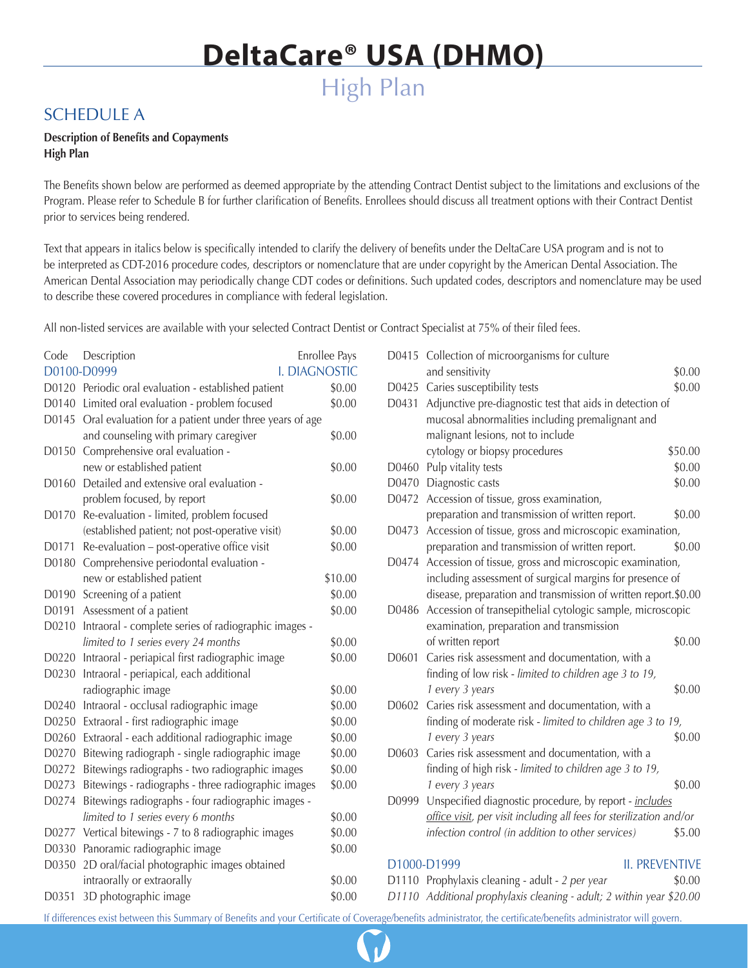### SCHEDULE A

### **Description of Benefits and Copayments High Plan**

The Benefits shown below are performed as deemed appropriate by the attending Contract Dentist subject to the limitations and exclusions of the Program. Please refer to Schedule B for further clarification of Benefits. Enrollees should discuss all treatment options with their Contract Dentist prior to services being rendered.

Text that appears in italics below is specifically intended to clarify the delivery of benefits under the DeltaCare USA program and is not to be interpreted as CDT-2016 procedure codes, descriptors or nomenclature that are under copyright by the American Dental Association. The American Dental Association may periodically change CDT codes or definitions. Such updated codes, descriptors and nomenclature may be used to describe these covered procedures in compliance with federal legislation.

All non-listed services are available with your selected Contract Dentist or Contract Specialist at 75% of their filed fees.

| Code                                | Enrollee Pays<br>Description                           |         |
|-------------------------------------|--------------------------------------------------------|---------|
| <b>I. DIAGNOSTIC</b><br>D0100-D0999 |                                                        |         |
| D0120                               | Periodic oral evaluation - established patient         | \$0.00  |
| D0140                               | Limited oral evaluation - problem focused              | \$0.00  |
| D0145                               | Oral evaluation for a patient under three years of age |         |
|                                     | and counseling with primary caregiver                  | \$0.00  |
| D0150                               | Comprehensive oral evaluation -                        |         |
|                                     | new or established patient                             | \$0.00  |
| D0160                               | Detailed and extensive oral evaluation -               |         |
|                                     | problem focused, by report                             | \$0.00  |
| D0170                               | Re-evaluation - limited, problem focused               |         |
|                                     | (established patient; not post-operative visit)        | \$0.00  |
| D0171                               | Re-evaluation - post-operative office visit            | \$0.00  |
| D0180                               | Comprehensive periodontal evaluation -                 |         |
|                                     | new or established patient                             | \$10.00 |
| D0190                               | Screening of a patient                                 | \$0.00  |
| D0191                               | Assessment of a patient                                | \$0.00  |
| D0210                               | Intraoral - complete series of radiographic images -   |         |
|                                     | limited to 1 series every 24 months                    | \$0.00  |
| D0220                               | Intraoral - periapical first radiographic image        | \$0.00  |
| D0230                               | Intraoral - periapical, each additional                |         |
|                                     | radiographic image                                     | \$0.00  |
| D0240                               | Intraoral - occlusal radiographic image                | \$0.00  |
| D0250                               | Extraoral - first radiographic image                   | \$0.00  |
| D0260                               | Extraoral - each additional radiographic image         | \$0.00  |
| D0270                               | Bitewing radiograph - single radiographic image        | \$0.00  |
| D0272                               | Bitewings radiographs - two radiographic images        | \$0.00  |
| D0273                               | Bitewings - radiographs - three radiographic images    | \$0.00  |
| D0274                               | Bitewings radiographs - four radiographic images -     |         |
|                                     | limited to 1 series every 6 months                     | \$0.00  |
| D0277                               | Vertical bitewings - 7 to 8 radiographic images        | \$0.00  |
| D0330                               | Panoramic radiographic image                           | \$0.00  |
| D0350                               | 2D oral/facial photographic images obtained            |         |
|                                     | intraorally or extraorally                             | \$0.00  |
| D0351                               | 3D photographic image                                  | \$0.00  |

|       | D0415 Collection of microorganisms for culture                       |         |
|-------|----------------------------------------------------------------------|---------|
|       | and sensitivity                                                      | \$0.00  |
| D0425 | Caries susceptibility tests                                          | \$0.00  |
| D0431 | Adjunctive pre-diagnostic test that aids in detection of             |         |
|       | mucosal abnormalities including premalignant and                     |         |
|       | malignant lesions, not to include                                    |         |
|       | cytology or biopsy procedures                                        | \$50.00 |
| D0460 | Pulp vitality tests                                                  | \$0.00  |
| D0470 | Diagnostic casts                                                     | \$0.00  |
| D0472 | Accession of tissue, gross examination,                              |         |
|       | preparation and transmission of written report.                      | \$0.00  |
| D0473 | Accession of tissue, gross and microscopic examination,              |         |
|       | preparation and transmission of written report.                      | \$0.00  |
| D0474 | Accession of tissue, gross and microscopic examination,              |         |
|       | including assessment of surgical margins for presence of             |         |
|       | disease, preparation and transmission of written report.\$0.00       |         |
| D0486 | Accession of transepithelial cytologic sample, microscopic           |         |
|       | examination, preparation and transmission                            |         |
|       | of written report                                                    | \$0.00  |
| D0601 | Caries risk assessment and documentation, with a                     |         |
|       | finding of low risk - limited to children age 3 to 19,               |         |
|       | 1 every 3 years                                                      | \$0.00  |
| D0602 | Caries risk assessment and documentation, with a                     |         |
|       | finding of moderate risk - limited to children age 3 to 19,          |         |
|       | 1 every 3 years                                                      | \$0.00  |
| D0603 | Caries risk assessment and documentation, with a                     |         |
|       | finding of high risk - limited to children age 3 to 19,              |         |
|       | 1 every 3 years                                                      | \$0.00  |
| D0999 | Unspecified diagnostic procedure, by report - includes               |         |
|       | office visit, per visit including all fees for sterilization and/or  |         |
|       | infection control (in addition to other services)                    | \$5.00  |
|       |                                                                      |         |
|       | <b>II. PREVENTIVE</b><br>D1000-D1999                                 |         |
|       | D1110 Prophylaxis cleaning - adult - 2 per year                      | \$0.00  |
|       | D1110 Additional prophylaxis cleaning - adult; 2 within year \$20.00 |         |

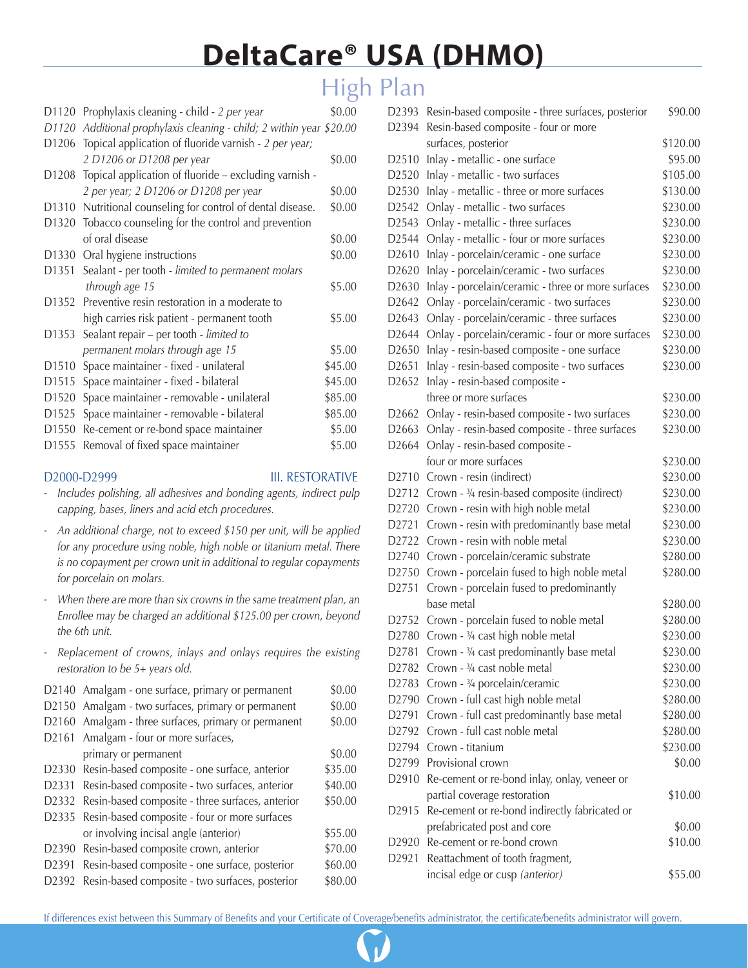## High Plan

| D1120             | Prophylaxis cleaning - child - 2 per year                      | \$0.00  |
|-------------------|----------------------------------------------------------------|---------|
| D1120             | Additional prophylaxis cleaning - child; 2 within year \$20.00 |         |
| D <sub>1206</sub> | Topical application of fluoride varnish - 2 per year;          |         |
|                   | 2 D1206 or D1208 per year                                      | \$0.00  |
| D1208             | Topical application of fluoride – excluding varnish -          |         |
|                   | 2 per year; 2 D1206 or D1208 per year                          | \$0.00  |
|                   | D1310 Nutritional counseling for control of dental disease.    | \$0.00  |
|                   | D1320 Tobacco counseling for the control and prevention        |         |
|                   | of oral disease                                                | \$0.00  |
| D1330             | Oral hygiene instructions                                      | \$0.00  |
| D1351             | Sealant - per tooth - limited to permanent molars              |         |
|                   | through age 15                                                 | \$5.00  |
| D1352             | Preventive resin restoration in a moderate to                  |         |
|                   | high carries risk patient - permanent tooth                    | \$5.00  |
| D1353             | Sealant repair – per tooth - limited to                        |         |
|                   | permanent molars through age 15                                | \$5.00  |
| D <sub>1510</sub> | Space maintainer - fixed - unilateral                          | \$45.00 |
| D1515             | Space maintainer - fixed - bilateral                           | \$45.00 |
| D <sub>1520</sub> | Space maintainer - removable - unilateral                      | \$85.00 |
| D1525             | Space maintainer - removable - bilateral                       | \$85.00 |
| D <sub>1550</sub> | Re-cement or re-bond space maintainer                          | \$5.00  |
| D <sub>1555</sub> | Removal of fixed space maintainer                              | \$5.00  |
|                   |                                                                |         |

### D2000-D2999 III. RESTORATIVE

- *Includes polishing, all adhesives and bonding agents, indirect pulp capping, bases, liners and acid etch procedures.*
- *An additional charge, not to exceed \$150 per unit, will be applied for any procedure using noble, high noble or titanium metal. There is no copayment per crown unit in additional to regular copayments for porcelain on molars.*
- *- When there are more than six crowns in the same treatment plan, an Enrollee may be charged an additional \$125.00 per crown, beyond the 6th unit.*
- *Replacement of crowns, inlays and onlays requires the existing restoration to be 5+ years old.*

|                   | D2140 Amalgam - one surface, primary or permanent      | \$0.00  |
|-------------------|--------------------------------------------------------|---------|
|                   | D2150 Amalgam - two surfaces, primary or permanent     | \$0.00  |
|                   | D2160 Amalgam - three surfaces, primary or permanent   | \$0.00  |
|                   | D2161 Amalgam - four or more surfaces,                 |         |
|                   | primary or permanent                                   | \$0.00  |
|                   | D2330 Resin-based composite - one surface, anterior    | \$35.00 |
|                   | D2331 Resin-based composite - two surfaces, anterior   | \$40.00 |
|                   | D2332 Resin-based composite - three surfaces, anterior | \$50.00 |
|                   | D2335 Resin-based composite - four or more surfaces    |         |
|                   | or involving incisal angle (anterior)                  | \$55.00 |
|                   | D2390 Resin-based composite crown, anterior            | \$70.00 |
|                   | D2391 Resin-based composite - one surface, posterior   | \$60.00 |
| D <sub>2392</sub> | Resin-based composite - two surfaces, posterior        | \$80.00 |
|                   |                                                        |         |

| D2393             | Resin-based composite - three surfaces, posterior                                    | \$90.00  |
|-------------------|--------------------------------------------------------------------------------------|----------|
| D2394             | Resin-based composite - four or more                                                 |          |
|                   | surfaces, posterior                                                                  | \$120.00 |
| D2510             | Inlay - metallic - one surface                                                       | \$95.00  |
| D2520             | Inlay - metallic - two surfaces                                                      | \$105.00 |
| D2530             | Inlay - metallic - three or more surfaces                                            | \$130.00 |
| D2542             | Onlay - metallic - two surfaces                                                      | \$230.00 |
| D2543             | Onlay - metallic - three surfaces                                                    | \$230.00 |
| D2544             | Onlay - metallic - four or more surfaces                                             | \$230.00 |
| D2610             | Inlay - porcelain/ceramic - one surface                                              | \$230.00 |
| D2620             | Inlay - porcelain/ceramic - two surfaces                                             | \$230.00 |
| D2630             | Inlay - porcelain/ceramic - three or more surfaces                                   | \$230.00 |
| D2642             | Onlay - porcelain/ceramic - two surfaces                                             | \$230.00 |
| D2643             | Onlay - porcelain/ceramic - three surfaces                                           | \$230.00 |
| D <sub>2644</sub> | Onlay - porcelain/ceramic - four or more surfaces                                    | \$230.00 |
| D2650             | Inlay - resin-based composite - one surface                                          | \$230.00 |
| D2651             | Inlay - resin-based composite - two surfaces                                         | \$230.00 |
| D2652             | Inlay - resin-based composite -                                                      |          |
|                   | three or more surfaces                                                               | \$230.00 |
| D <sub>2662</sub> | Onlay - resin-based composite - two surfaces                                         | \$230.00 |
| D2663             | Onlay - resin-based composite - three surfaces                                       | \$230.00 |
| D2664             | Onlay - resin-based composite -                                                      |          |
|                   | four or more surfaces                                                                | \$230.00 |
| D2710             | Crown - resin (indirect)                                                             | \$230.00 |
| D <sub>2712</sub> | Crown - 3/4 resin-based composite (indirect)                                         | \$230.00 |
| D2720             | Crown - resin with high noble metal                                                  | \$230.00 |
| D2721             | Crown - resin with predominantly base metal                                          | \$230.00 |
| D2722             | Crown - resin with noble metal                                                       | \$230.00 |
| D2740             | Crown - porcelain/ceramic substrate                                                  | \$280.00 |
| D2750             | Crown - porcelain fused to high noble metal                                          | \$280.00 |
| D2751             | Crown - porcelain fused to predominantly                                             |          |
|                   | base metal                                                                           | \$280.00 |
| D2752             | Crown - porcelain fused to noble metal                                               | \$280.00 |
|                   |                                                                                      | \$230.00 |
|                   | D2780 Crown - 3/4 cast high noble metal<br>Crown - 3/4 cast predominantly base metal |          |
| D2781             |                                                                                      | \$230.00 |
| D <sub>2782</sub> | Crown - 3/4 cast noble metal                                                         | \$230.00 |
| D2783             | Crown - 3/4 porcelain/ceramic                                                        | \$230.00 |
| D2790             | Crown - full cast high noble metal                                                   | \$280.00 |
| D2791             | Crown - full cast predominantly base metal                                           | \$280.00 |
| D2792             | Crown - full cast noble metal                                                        | \$280.00 |
| D2794             | Crown - titanium                                                                     | \$230.00 |
| D2799             | Provisional crown                                                                    | \$0.00   |
| D <sub>2910</sub> | Re-cement or re-bond inlay, onlay, veneer or                                         |          |
|                   | partial coverage restoration                                                         | \$10.00  |
| D <sub>2915</sub> | Re-cement or re-bond indirectly fabricated or                                        |          |
|                   | prefabricated post and core                                                          | \$0.00   |
| D2920             | Re-cement or re-bond crown                                                           | \$10.00  |
| D2921             | Reattachment of tooth fragment,                                                      |          |
|                   | incisal edge or cusp (anterior)                                                      | \$55.00  |

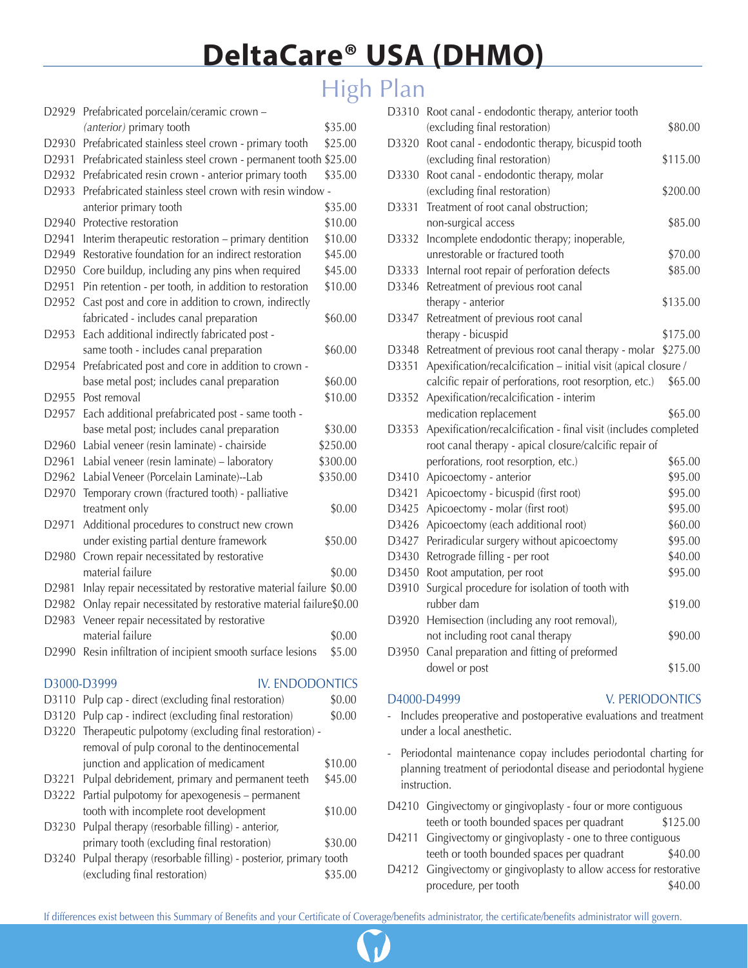## High Plan

| D2929             | Prefabricated porcelain/ceramic crown -                          |          |
|-------------------|------------------------------------------------------------------|----------|
|                   | (anterior) primary tooth                                         | \$35.00  |
| D2930             | Prefabricated stainless steel crown - primary tooth              | \$25.00  |
| D2931             | Prefabricated stainless steel crown - permanent tooth \$25.00    |          |
| D <sub>2932</sub> | Prefabricated resin crown - anterior primary tooth               | \$35.00  |
| D2933             | Prefabricated stainless steel crown with resin window -          |          |
|                   | anterior primary tooth                                           | \$35.00  |
| D <sub>2940</sub> | Protective restoration                                           | \$10.00  |
| D2941             | Interim therapeutic restoration - primary dentition              | \$10.00  |
| D2949             | Restorative foundation for an indirect restoration               | \$45.00  |
| D2950             | Core buildup, including any pins when required                   | \$45.00  |
| D2951             | Pin retention - per tooth, in addition to restoration            | \$10.00  |
| D2952             | Cast post and core in addition to crown, indirectly              |          |
|                   | fabricated - includes canal preparation                          | \$60.00  |
| D2953             | Each additional indirectly fabricated post -                     |          |
|                   | same tooth - includes canal preparation                          | \$60.00  |
| D2954             | Prefabricated post and core in addition to crown -               |          |
|                   | base metal post; includes canal preparation                      | \$60.00  |
| D2955             | Post removal                                                     | \$10.00  |
| D2957             | Each additional prefabricated post - same tooth -                |          |
|                   | base metal post; includes canal preparation                      | \$30.00  |
| D <sub>2960</sub> | Labial veneer (resin laminate) - chairside                       | \$250.00 |
| D2961             | Labial veneer (resin laminate) - laboratory                      | \$300.00 |
| D2962             | Labial Veneer (Porcelain Laminate)--Lab                          | \$350.00 |
| D2970             | Temporary crown (fractured tooth) - palliative                   |          |
|                   | treatment only                                                   | \$0.00   |
| D2971             | Additional procedures to construct new crown                     |          |
|                   | under existing partial denture framework                         | \$50.00  |
| D <sub>2980</sub> | Crown repair necessitated by restorative                         |          |
|                   | material failure                                                 | \$0.00   |
| D <sub>2981</sub> | Inlay repair necessitated by restorative material failure \$0.00 |          |
| D2982             | Onlay repair necessitated by restorative material failure\$0.00  |          |
| D2983             | Veneer repair necessitated by restorative                        |          |
|                   | material failure                                                 | \$0.00   |
|                   | D2990 Resin infiltration of incipient smooth surface lesions     | \$5.00   |
|                   |                                                                  |          |
|                   | <b>IV. ENDODONTICS</b><br>D3000-D3999                            |          |
| D3110             | Pulp cap - direct (excluding final restoration)                  | \$0.00   |
| D3120             | Pulp cap - indirect (excluding final restoration)                | \$0.00   |
| D3220             | Therapeutic pulpotomy (excluding final restoration) -            |          |
|                   | removal of pulp coronal to the dentinocemental                   |          |
|                   | junction and application of medicament                           | \$10.00  |
| D3221             | Pulpal debridement, primary and permanent teeth                  | \$45.00  |
| D3222             | Partial pulpotomy for apexogenesis - permanent                   |          |

| tooth with incomplete root development                               | \$10.00 |
|----------------------------------------------------------------------|---------|
| D3230 Pulpal therapy (resorbable filling) - anterior,                |         |
| primary tooth (excluding final restoration)                          | \$30.00 |
| D3240 Pulpal therapy (resorbable filling) - posterior, primary tooth |         |
| (excluding final restoration)                                        | \$35.00 |

| D3310 | Root canal - endodontic therapy, anterior tooth<br>(excluding final restoration) | \$80.00  |
|-------|----------------------------------------------------------------------------------|----------|
| D3320 | Root canal - endodontic therapy, bicuspid tooth                                  |          |
|       | (excluding final restoration)                                                    | \$115.00 |
| D3330 | Root canal - endodontic therapy, molar                                           |          |
|       | (excluding final restoration)                                                    | \$200.00 |
| D3331 | Treatment of root canal obstruction;                                             |          |
|       | non-surgical access                                                              | \$85.00  |
| D3332 | Incomplete endodontic therapy; inoperable,                                       |          |
|       | unrestorable or fractured tooth                                                  | \$70.00  |
| D3333 | Internal root repair of perforation defects                                      | \$85.00  |
| D3346 | Retreatment of previous root canal                                               |          |
|       | therapy - anterior                                                               | \$135.00 |
| D3347 | Retreatment of previous root canal                                               |          |
|       | therapy - bicuspid                                                               | \$175.00 |
| D3348 | Retreatment of previous root canal therapy - molar                               | \$275.00 |
| D3351 | Apexification/recalcification - initial visit (apical closure /                  |          |
|       | calcific repair of perforations, root resorption, etc.)                          | \$65.00  |
| D3352 | Apexification/recalcification - interim                                          |          |
|       | medication replacement                                                           | \$65.00  |
| D3353 | Apexification/recalcification - final visit (includes completed                  |          |
|       | root canal therapy - apical closure/calcific repair of                           |          |
|       | perforations, root resorption, etc.)                                             | \$65.00  |
| D3410 | Apicoectomy - anterior                                                           | \$95.00  |
| D3421 | Apicoectomy - bicuspid (first root)                                              | \$95.00  |
| D3425 | Apicoectomy - molar (first root)                                                 | \$95.00  |
| D3426 | Apicoectomy (each additional root)                                               | \$60.00  |
| D3427 | Periradicular surgery without apicoectomy                                        | \$95.00  |
| D3430 | Retrograde filling - per root                                                    | \$40.00  |
| D3450 | Root amputation, per root                                                        | \$95.00  |
| D3910 | Surgical procedure for isolation of tooth with                                   |          |
|       | rubber dam                                                                       | \$19.00  |
| D3920 | Hemisection (including any root removal),                                        |          |
|       | not including root canal therapy                                                 | \$90.00  |
| D3950 | Canal preparation and fitting of preformed                                       |          |
|       | dowel or post                                                                    | \$15.00  |

### D4000-D4999 V. PERIODONTICS

- Includes preoperative and postoperative evaluations and treatment under a local anesthetic.
- Periodontal maintenance copay includes periodontal charting for planning treatment of periodontal disease and periodontal hygiene instruction.
- D4210 Gingivectomy or gingivoplasty four or more contiguous teeth or tooth bounded spaces per quadrant \$125.00
- D4211 Gingivectomy or gingivoplasty one to three contiguous teeth or tooth bounded spaces per quadrant \$40.00
- D4212 Gingivectomy or gingivoplasty to allow access for restorative procedure, per tooth  $$40.00$

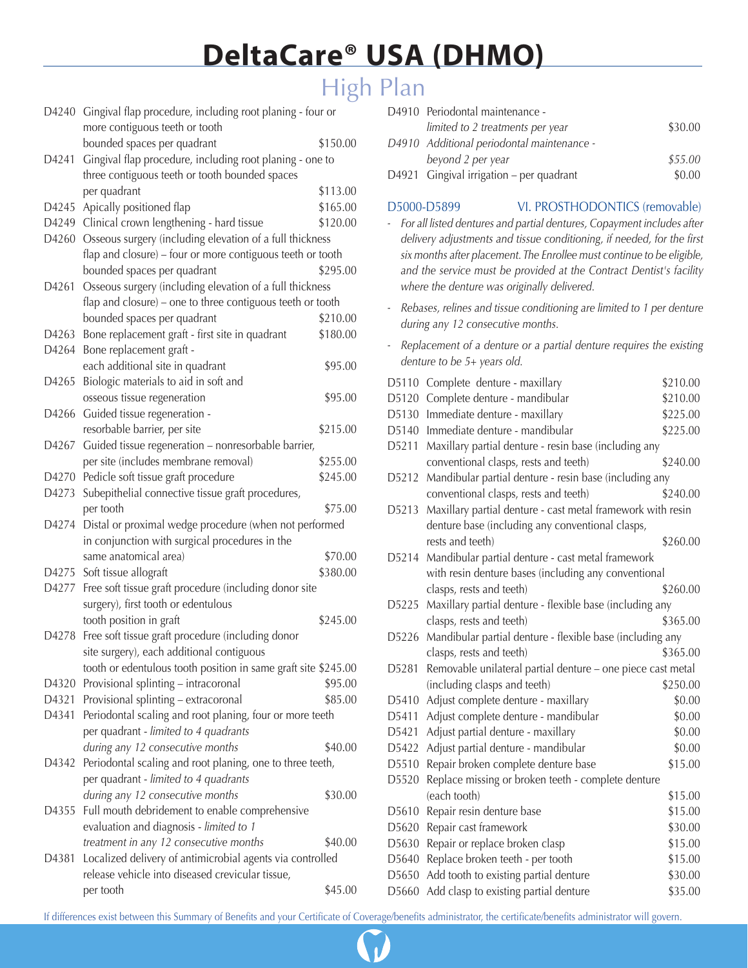# High Plan

| D4240 | Gingival flap procedure, including root planing - four or<br>more contiguous teeth or tooth                |          |
|-------|------------------------------------------------------------------------------------------------------------|----------|
|       | bounded spaces per quadrant                                                                                | \$150.00 |
|       |                                                                                                            |          |
| D4241 | Gingival flap procedure, including root planing - one to<br>three contiguous teeth or tooth bounded spaces |          |
|       | per quadrant                                                                                               | \$113.00 |
| D4245 | Apically positioned flap                                                                                   | \$165.00 |
| D4249 | Clinical crown lengthening - hard tissue                                                                   | \$120.00 |
| D4260 | Osseous surgery (including elevation of a full thickness                                                   |          |
|       | flap and closure) - four or more contiguous teeth or tooth                                                 |          |
|       | bounded spaces per quadrant                                                                                | \$295.00 |
| D4261 | Osseous surgery (including elevation of a full thickness                                                   |          |
|       | flap and closure) – one to three contiguous teeth or tooth                                                 |          |
|       | bounded spaces per quadrant                                                                                | \$210.00 |
| D4263 | Bone replacement graft - first site in quadrant                                                            | \$180.00 |
| D4264 | Bone replacement graft -                                                                                   |          |
|       | each additional site in quadrant                                                                           | \$95.00  |
| D4265 | Biologic materials to aid in soft and                                                                      |          |
|       | osseous tissue regeneration                                                                                | \$95.00  |
| D4266 | Guided tissue regeneration -                                                                               |          |
|       | resorbable barrier, per site                                                                               | \$215.00 |
| D4267 | Guided tissue regeneration - nonresorbable barrier,                                                        |          |
|       | per site (includes membrane removal)                                                                       | \$255.00 |
| D4270 | Pedicle soft tissue graft procedure                                                                        | \$245.00 |
| D4273 | Subepithelial connective tissue graft procedures,                                                          |          |
|       | per tooth                                                                                                  | \$75.00  |
| D4274 | Distal or proximal wedge procedure (when not performed                                                     |          |
|       | in conjunction with surgical procedures in the                                                             |          |
|       | same anatomical area)                                                                                      | \$70.00  |
| D4275 | Soft tissue allograft                                                                                      | \$380.00 |
| D4277 | Free soft tissue graft procedure (including donor site                                                     |          |
|       | surgery), first tooth or edentulous                                                                        |          |
|       | tooth position in graft                                                                                    | \$245.00 |
| D4278 | Free soft tissue graft procedure (including donor                                                          |          |
|       | site surgery), each additional contiguous                                                                  |          |
|       | tooth or edentulous tooth position in same graft site \$245.00                                             |          |
|       |                                                                                                            | \$95.00  |
| D4320 | Provisional splinting - intracoronal                                                                       |          |
| D4321 | Provisional splinting - extracoronal                                                                       | \$85.00  |
| D4341 | Periodontal scaling and root planing, four or more teeth                                                   |          |
|       | per quadrant - limited to 4 quadrants                                                                      |          |
|       | during any 12 consecutive months                                                                           | \$40.00  |
| D4342 | Periodontal scaling and root planing, one to three teeth,                                                  |          |
|       | per quadrant - limited to 4 quadrants                                                                      |          |
|       | during any 12 consecutive months                                                                           | \$30.00  |
| D4355 | Full mouth debridement to enable comprehensive                                                             |          |
|       | evaluation and diagnosis - limited to 1                                                                    |          |
|       | treatment in any 12 consecutive months                                                                     | \$40.00  |
| D4381 | Localized delivery of antimicrobial agents via controlled                                                  |          |
|       | release vehicle into diseased crevicular tissue,                                                           |          |
|       | per tooth                                                                                                  | \$45.00  |

| D4910 Periodontal maintenance -            |         |
|--------------------------------------------|---------|
| limited to 2 treatments per year           | \$30.00 |
| D4910 Additional periodontal maintenance - |         |
| beyond 2 per year                          | \$55.00 |
| D4921 Gingival irrigation – per quadrant   | \$0.00  |

### D5000-D5899 VI. PROSTHODONTICS (removable)

- *- For all listed dentures and partial dentures, Copayment includes after delivery adjustments and tissue conditioning, if needed, for the first six months after placement. The Enrollee must continue to be eligible, and the service must be provided at the Contract Dentist's facility where the denture was originally delivered.*
- *- Rebases, relines and tissue conditioning are limited to 1 per denture during any 12 consecutive months.*
- *- Replacement of a denture or a partial denture requires the existing denture to be 5+ years old.*

| D5110 | Complete denture - maxillary                                | \$210.00 |
|-------|-------------------------------------------------------------|----------|
| D5120 | Complete denture - mandibular                               | \$210.00 |
| D5130 | Immediate denture - maxillary                               | \$225.00 |
| D5140 | Immediate denture - mandibular                              | \$225.00 |
| D5211 | Maxillary partial denture - resin base (including any       |          |
|       | conventional clasps, rests and teeth)                       | \$240.00 |
| D5212 | Mandibular partial denture - resin base (including any      |          |
|       | conventional clasps, rests and teeth)                       | \$240.00 |
| D5213 | Maxillary partial denture - cast metal framework with resin |          |
|       | denture base (including any conventional clasps,            |          |
|       | rests and teeth)                                            | \$260.00 |
| D5214 | Mandibular partial denture - cast metal framework           |          |
|       | with resin denture bases (including any conventional        |          |
|       | clasps, rests and teeth)                                    | \$260.00 |
| D5225 | Maxillary partial denture - flexible base (including any    |          |
|       | clasps, rests and teeth)                                    | \$365.00 |
| D5226 | Mandibular partial denture - flexible base (including any   |          |
|       | clasps, rests and teeth)                                    | \$365.00 |
| D5281 | Removable unilateral partial denture - one piece cast metal |          |
|       | (including clasps and teeth)                                | \$250.00 |
| D5410 | Adjust complete denture - maxillary                         | \$0.00   |
| D5411 | Adjust complete denture - mandibular                        | \$0.00   |
| D5421 | Adjust partial denture - maxillary                          | \$0.00   |
| D5422 | Adjust partial denture - mandibular                         | \$0.00   |
| D5510 | Repair broken complete denture base                         | \$15.00  |
| D5520 | Replace missing or broken teeth - complete denture          |          |
|       | (each tooth)                                                | \$15.00  |
| D5610 | Repair resin denture base                                   | \$15.00  |
| D5620 | Repair cast framework                                       | \$30.00  |
| D5630 | Repair or replace broken clasp                              | \$15.00  |
| D5640 | Replace broken teeth - per tooth                            | \$15.00  |
| D5650 | Add tooth to existing partial denture                       | \$30.00  |
| D5660 | Add clasp to existing partial denture                       | \$35.00  |

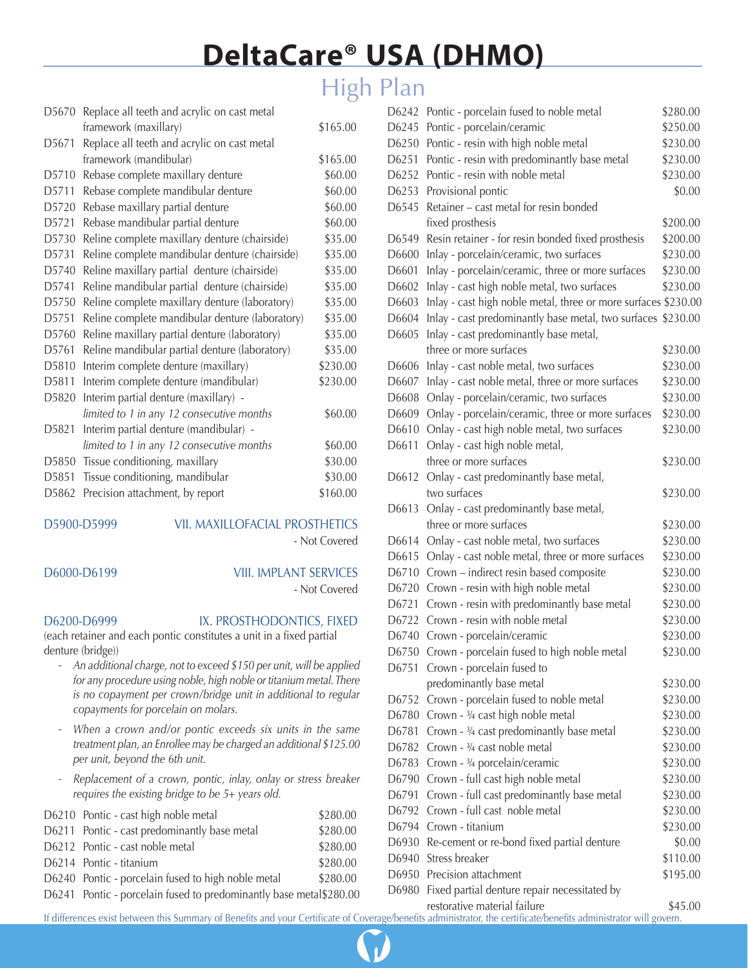## High Plan

| D5670             | Replace all teeth and acrylic on cast metal     |          |
|-------------------|-------------------------------------------------|----------|
|                   | framework (maxillary)                           | \$165.00 |
| D <sub>5671</sub> | Replace all teeth and acrylic on cast metal     |          |
|                   | framework (mandibular)                          | \$165.00 |
| D5710             | Rebase complete maxillary denture               | \$60.00  |
| D <sub>5711</sub> | Rebase complete mandibular denture              | \$60.00  |
| D <sub>5720</sub> | Rebase maxillary partial denture                | \$60.00  |
| D5721             | Rebase mandibular partial denture               | \$60.00  |
| D5730             | Reline complete maxillary denture (chairside)   | \$35.00  |
| D5731             | Reline complete mandibular denture (chairside)  | \$35.00  |
| D5740             | Reline maxillary partial denture (chairside)    | \$35.00  |
| D5741             | Reline mandibular partial denture (chairside)   | \$35.00  |
| D5750             | Reline complete maxillary denture (laboratory)  | \$35.00  |
| D5751             | Reline complete mandibular denture (laboratory) | \$35.00  |
| D5760             | Reline maxillary partial denture (laboratory)   | \$35.00  |
| D5761             | Reline mandibular partial denture (laboratory)  | \$35.00  |
| D5810             | Interim complete denture (maxillary)            | \$230.00 |
| D5811             | Interim complete denture (mandibular)           | \$230.00 |
| D <sub>5820</sub> | Interim partial denture (maxillary) -           |          |
|                   | limited to 1 in any 12 consecutive months       | \$60.00  |
| D5821             | Interim partial denture (mandibular) -          |          |
|                   | limited to 1 in any 12 consecutive months       | \$60.00  |
| D5850             | Tissue conditioning, maxillary                  | \$30.00  |
| D5851             | Tissue conditioning, mandibular                 | \$30.00  |
| D5862             | Precision attachment, by report                 | \$160.00 |
|                   |                                                 |          |

### D5900-D5999 VII. MAXILLOFACIAL PROSTHETICS

- Not Covered

### D6000-D6199 VIII. IMPLANT SERVICES

- Not Covered

D6200-D6999 IX. PROSTHODONTICS, FIXED

(each retainer and each pontic constitutes a unit in a fixed partial denture (bridge))

- *An additional charge, not to exceed \$150 per unit, will be applied for any procedure using noble, high noble or titanium metal. There is no copayment per crown/bridge unit in additional to regular copayments for porcelain on molars.*
- *When a crown and/or pontic exceeds six units in the same treatment plan, an Enrollee may be charged an additional \$125.00 per unit, beyond the 6th unit.*
- *Replacement of a crown, pontic, inlay, onlay or stress breaker requires the existing bridge to be 5+ years old.*

| D6210 Pontic - cast high noble metal                                | \$280.00 |
|---------------------------------------------------------------------|----------|
| D6211 Pontic - cast predominantly base metal                        | \$280.00 |
| D6212 Pontic - cast noble metal                                     | \$280.00 |
| D6214 Pontic - titanium                                             | \$280.00 |
| D6240 Pontic - porcelain fused to high noble metal                  | \$280.00 |
| D6241 Pontic - porcelain fused to predominantly base metal \$280.00 |          |

| D6242 | Pontic - porcelain fused to noble metal                        | \$280.00 |
|-------|----------------------------------------------------------------|----------|
| D6245 | Pontic - porcelain/ceramic                                     | \$250.00 |
| D6250 | Pontic - resin with high noble metal                           | \$230.00 |
| D6251 | Pontic - resin with predominantly base metal                   | \$230.00 |
| D6252 | Pontic - resin with noble metal                                | \$230.00 |
| D6253 | Provisional pontic                                             | \$0.00   |
| D6545 | Retainer - cast metal for resin bonded                         |          |
|       | fixed prosthesis                                               | \$200.00 |
| D6549 | Resin retainer - for resin bonded fixed prosthesis             | \$200.00 |
| D6600 | Inlay - porcelain/ceramic, two surfaces                        | \$230.00 |
| D6601 | Inlay - porcelain/ceramic, three or more surfaces              | \$230.00 |
| D6602 | Inlay - cast high noble metal, two surfaces                    | \$230.00 |
| D6603 | Inlay - cast high noble metal, three or more surfaces \$230.00 |          |
| D6604 | Inlay - cast predominantly base metal, two surfaces \$230.00   |          |
| D6605 | Inlay - cast predominantly base metal,                         |          |
|       | three or more surfaces                                         | \$230.00 |
| D6606 | Inlay - cast noble metal, two surfaces                         | \$230.00 |
| D6607 | Inlay - cast noble metal, three or more surfaces               | \$230.00 |
| D6608 | Onlay - porcelain/ceramic, two surfaces                        | \$230.00 |
| D6609 | Onlay - porcelain/ceramic, three or more surfaces              | \$230.00 |
| D6610 | Onlay - cast high noble metal, two surfaces                    | \$230.00 |
| D6611 | Onlay - cast high noble metal,                                 |          |
|       | three or more surfaces                                         | \$230.00 |
| D6612 | Onlay - cast predominantly base metal,                         |          |
|       | two surfaces                                                   | \$230.00 |
| D6613 | Onlay - cast predominantly base metal,                         |          |
|       | three or more surfaces                                         | \$230.00 |
| D6614 | Onlay - cast noble metal, two surfaces                         | \$230.00 |
| D6615 | Onlay - cast noble metal, three or more surfaces               | \$230.00 |
| D6710 | Crown - indirect resin based composite                         | \$230.00 |
| D6720 | Crown - resin with high noble metal                            | \$230.00 |
| D6721 | Crown - resin with predominantly base metal                    | \$230.00 |
|       | D6722 Crown - resin with noble metal                           | \$230.00 |
|       | D6740 Crown - porcelain/ceramic                                | \$230.00 |
| D6750 | Crown - porcelain fused to high noble metal                    | \$230.00 |
| D6751 | Crown - porcelain fused to                                     |          |
|       | predominantly base metal                                       | \$230.00 |
| D6752 | Crown - porcelain fused to noble metal                         | \$230.00 |
| D6780 | Crown - 3/4 cast high noble metal                              | \$230.00 |
| D6781 | Crown - 3/4 cast predominantly base metal                      | \$230.00 |
| D6782 | Crown - 3/4 cast noble metal                                   | \$230.00 |
| D6783 | Crown - 3/4 porcelain/ceramic                                  | \$230.00 |
| D6790 | Crown - full cast high noble metal                             | \$230.00 |
| D6791 | Crown - full cast predominantly base metal                     | \$230.00 |
| D6792 | Crown - full cast noble metal                                  | \$230.00 |
| D6794 | Crown - titanium                                               | \$230.00 |
| D6930 | Re-cement or re-bond fixed partial denture                     | \$0.00   |
| D6940 | Stress breaker                                                 | \$110.00 |
| D6950 | Precision attachment                                           | \$195.00 |
| D6980 | Fixed partial denture repair necessitated by                   |          |

restorative material failure  $$45.00$ 

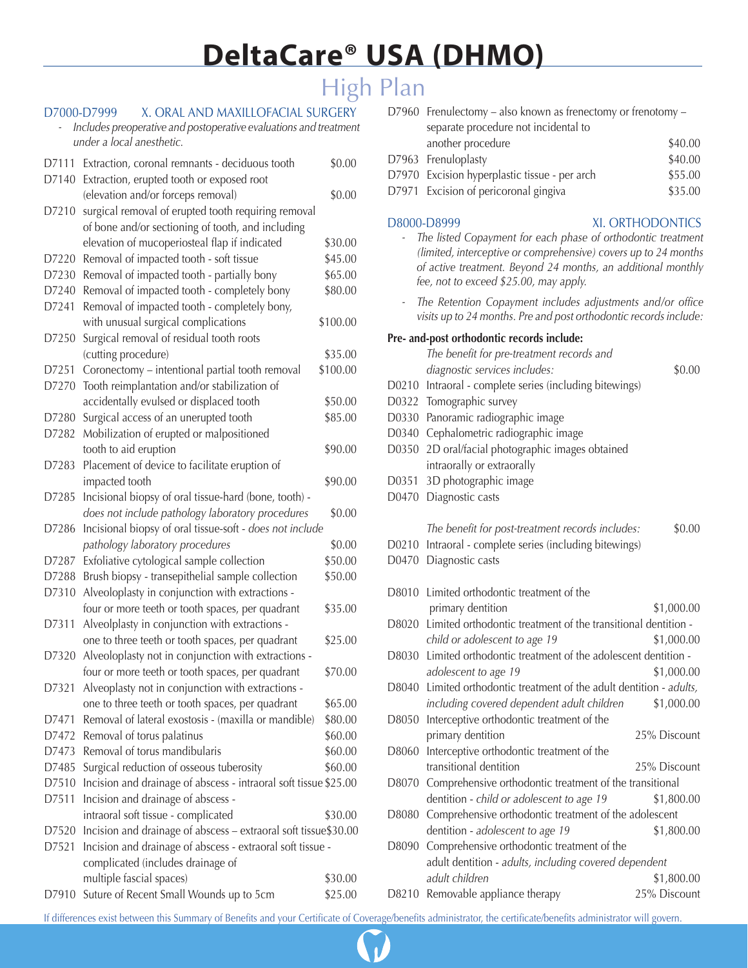## High Plan

### D7000-D7999 X. ORAL AND MAXILLOFACIAL SURGERY

*- Includes preoperative and postoperative evaluations and treatment under a local anesthetic.*

| D7111 | Extraction, coronal remnants - deciduous tooth                   | \$0.00   |
|-------|------------------------------------------------------------------|----------|
| D7140 | Extraction, erupted tooth or exposed root                        |          |
|       | (elevation and/or forceps removal)                               | \$0.00   |
| D7210 | surgical removal of erupted tooth requiring removal              |          |
|       | of bone and/or sectioning of tooth, and including                |          |
|       | elevation of mucoperiosteal flap if indicated                    | \$30.00  |
| D7220 | Removal of impacted tooth - soft tissue                          | \$45.00  |
| D7230 | Removal of impacted tooth - partially bony                       | \$65.00  |
| D7240 | Removal of impacted tooth - completely bony                      | \$80.00  |
| D7241 | Removal of impacted tooth - completely bony,                     |          |
|       | with unusual surgical complications                              | \$100.00 |
| D7250 | Surgical removal of residual tooth roots                         |          |
|       | (cutting procedure)                                              | \$35.00  |
| D7251 | Coronectomy - intentional partial tooth removal                  | \$100.00 |
| D7270 | Tooth reimplantation and/or stabilization of                     |          |
|       | accidentally evulsed or displaced tooth                          | \$50.00  |
| D7280 | Surgical access of an unerupted tooth                            | \$85.00  |
| D7282 | Mobilization of erupted or malpositioned                         |          |
|       | tooth to aid eruption                                            | \$90.00  |
| D7283 | Placement of device to facilitate eruption of                    |          |
|       | impacted tooth                                                   | \$90.00  |
| D7285 | Incisional biopsy of oral tissue-hard (bone, tooth) -            |          |
|       | does not include pathology laboratory procedures                 | \$0.00   |
| D7286 | Incisional biopsy of oral tissue-soft - does not include         |          |
|       | pathology laboratory procedures                                  | \$0.00   |
| D7287 | Exfoliative cytological sample collection                        | \$50.00  |
| D7288 | Brush biopsy - transepithelial sample collection                 | \$50.00  |
| D7310 | Alveoloplasty in conjunction with extractions -                  |          |
|       | four or more teeth or tooth spaces, per quadrant                 | \$35.00  |
| D7311 | Alveolplasty in conjunction with extractions -                   |          |
|       | one to three teeth or tooth spaces, per quadrant                 | \$25.00  |
| D7320 | Alveoloplasty not in conjunction with extractions -              |          |
|       | four or more teeth or tooth spaces, per quadrant                 | \$70.00  |
| D7321 | Alveoplasty not in conjunction with extractions -                |          |
|       | one to three teeth or tooth spaces, per quadrant                 | \$65.00  |
| D7471 | Removal of lateral exostosis - (maxilla or mandible)             | \$80.00  |
| D7472 | Removal of torus palatinus                                       | \$60.00  |
| D7473 | Removal of torus mandibularis                                    | \$60.00  |
| D7485 | Surgical reduction of osseous tuberosity                         | \$60.00  |
| D7510 | Incision and drainage of abscess - intraoral soft tissue \$25.00 |          |
| D7511 | Incision and drainage of abscess -                               |          |
|       | intraoral soft tissue - complicated                              | \$30.00  |
| D7520 | Incision and drainage of abscess - extraoral soft tissue\$30.00  |          |
| D7521 | Incision and drainage of abscess - extraoral soft tissue -       |          |
|       | complicated (includes drainage of                                |          |
|       | multiple fascial spaces)                                         | \$30.00  |
| D7910 | Suture of Recent Small Wounds up to 5cm                          | \$25.00  |
|       |                                                                  |          |

|  | D7960 Frenulectomy – also known as frenectomy or frenotomy – |         |
|--|--------------------------------------------------------------|---------|
|  | separate procedure not incidental to                         |         |
|  | another procedure                                            | \$40.00 |
|  | D7963 Frenuloplasty                                          | \$40.00 |
|  | D7970 Excision hyperplastic tissue - per arch                | \$55.00 |
|  | D7971 Excision of pericoronal gingiva                        | \$35.00 |
|  |                                                              |         |

### D8000-D8999 XI. ORTHODONTICS

- *The listed Copayment for each phase of orthodontic treatment (limited, interceptive or comprehensive) covers up to 24 months of active treatment. Beyond 24 months, an additional monthly fee, not to exceed \$25.00, may apply.*
- *The Retention Copayment includes adjustments and/or office visits up to 24 months. Pre and post orthodontic records include:*

### **Pre- and-post orthodontic records include:**

|       | The benefit for pre-treatment records and                      |              |
|-------|----------------------------------------------------------------|--------------|
|       | diagnostic services includes:                                  | \$0.00       |
| D0210 | Intraoral - complete series (including bitewings)              |              |
| D0322 | Tomographic survey                                             |              |
| D0330 | Panoramic radiographic image                                   |              |
| D0340 | Cephalometric radiographic image                               |              |
| D0350 | 2D oral/facial photographic images obtained                    |              |
|       | intraorally or extraorally                                     |              |
| D0351 | 3D photographic image                                          |              |
| D0470 | Diagnostic casts                                               |              |
|       | The benefit for post-treatment records includes:               | \$0.00       |
| D0210 | Intraoral - complete series (including bitewings)              |              |
| D0470 | Diagnostic casts                                               |              |
|       |                                                                |              |
| D8010 | Limited orthodontic treatment of the                           |              |
|       | primary dentition                                              | \$1,000.00   |
| D8020 | Limited orthodontic treatment of the transitional dentition -  |              |
|       | child or adolescent to age 19                                  | \$1,000.00   |
| D8030 | Limited orthodontic treatment of the adolescent dentition -    |              |
|       | adolescent to age 19                                           | \$1,000.00   |
| D8040 | Limited orthodontic treatment of the adult dentition - adults, |              |
|       | including covered dependent adult children                     | \$1,000.00   |
| D8050 | Interceptive orthodontic treatment of the                      |              |
|       | primary dentition                                              | 25% Discount |
| D8060 | Interceptive orthodontic treatment of the                      |              |
|       | transitional dentition                                         | 25% Discount |
| D8070 | Comprehensive orthodontic treatment of the transitional        |              |
|       | dentition - child or adolescent to age 19                      | \$1,800.00   |
| D8080 | Comprehensive orthodontic treatment of the adolescent          |              |
|       | dentition - adolescent to age 19                               | \$1,800.00   |
| D8090 | Comprehensive orthodontic treatment of the                     |              |
|       | adult dentition - adults, including covered dependent          |              |
|       | adult children                                                 | \$1,800.00   |
|       | D8210 Removable appliance therapy                              | 25% Discount |